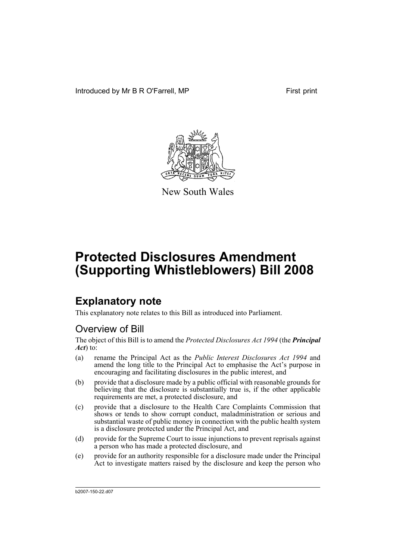Introduced by Mr B R O'Farrell, MP First print



New South Wales

# **Protected Disclosures Amendment (Supporting Whistleblowers) Bill 2008**

# **Explanatory note**

This explanatory note relates to this Bill as introduced into Parliament.

## Overview of Bill

The object of this Bill is to amend the *Protected Disclosures Act 1994* (the *Principal Act*) to:

- (a) rename the Principal Act as the *Public Interest Disclosures Act 1994* and amend the long title to the Principal Act to emphasise the Act's purpose in encouraging and facilitating disclosures in the public interest, and
- (b) provide that a disclosure made by a public official with reasonable grounds for believing that the disclosure is substantially true is, if the other applicable requirements are met, a protected disclosure, and
- (c) provide that a disclosure to the Health Care Complaints Commission that shows or tends to show corrupt conduct, maladministration or serious and substantial waste of public money in connection with the public health system is a disclosure protected under the Principal Act, and
- (d) provide for the Supreme Court to issue injunctions to prevent reprisals against a person who has made a protected disclosure, and
- (e) provide for an authority responsible for a disclosure made under the Principal Act to investigate matters raised by the disclosure and keep the person who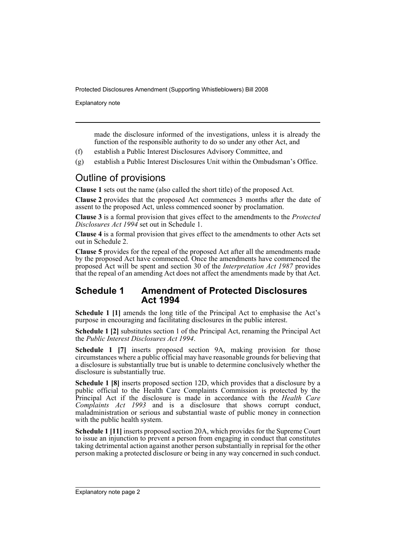Explanatory note

made the disclosure informed of the investigations, unless it is already the function of the responsible authority to do so under any other Act, and

- (f) establish a Public Interest Disclosures Advisory Committee, and
- (g) establish a Public Interest Disclosures Unit within the Ombudsman's Office.

## Outline of provisions

**Clause 1** sets out the name (also called the short title) of the proposed Act.

**Clause 2** provides that the proposed Act commences 3 months after the date of assent to the proposed Act, unless commenced sooner by proclamation.

**Clause 3** is a formal provision that gives effect to the amendments to the *Protected Disclosures Act 1994* set out in Schedule 1.

**Clause 4** is a formal provision that gives effect to the amendments to other Acts set out in Schedule 2.

**Clause 5** provides for the repeal of the proposed Act after all the amendments made by the proposed Act have commenced. Once the amendments have commenced the proposed Act will be spent and section 30 of the *Interpretation Act 1987* provides that the repeal of an amending Act does not affect the amendments made by that Act.

### **Schedule 1 Amendment of Protected Disclosures Act 1994**

**Schedule 1 [1]** amends the long title of the Principal Act to emphasise the Act's purpose in encouraging and facilitating disclosures in the public interest.

**Schedule 1 [2]** substitutes section 1 of the Principal Act, renaming the Principal Act the *Public Interest Disclosures Act 1994*.

**Schedule 1 [7]** inserts proposed section 9A, making provision for those circumstances where a public official may have reasonable grounds for believing that a disclosure is substantially true but is unable to determine conclusively whether the disclosure is substantially true.

**Schedule 1 [8]** inserts proposed section 12D, which provides that a disclosure by a public official to the Health Care Complaints Commission is protected by the Principal Act if the disclosure is made in accordance with the *Health Care Complaints Act 1993* and is a disclosure that shows corrupt conduct, maladministration or serious and substantial waste of public money in connection with the public health system.

**Schedule 1 [11]** inserts proposed section 20A, which provides for the Supreme Court to issue an injunction to prevent a person from engaging in conduct that constitutes taking detrimental action against another person substantially in reprisal for the other person making a protected disclosure or being in any way concerned in such conduct.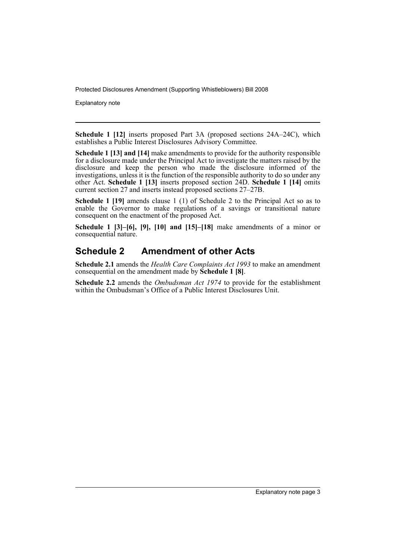Explanatory note

**Schedule 1 [12]** inserts proposed Part 3A (proposed sections 24A–24C), which establishes a Public Interest Disclosures Advisory Committee.

**Schedule 1 [13] and [14]** make amendments to provide for the authority responsible for a disclosure made under the Principal Act to investigate the matters raised by the disclosure and keep the person who made the disclosure informed of the investigations, unless it is the function of the responsible authority to do so under any other Act. **Schedule 1 [13]** inserts proposed section 24D. **Schedule 1 [14]** omits current section 27 and inserts instead proposed sections 27–27B.

**Schedule 1 [19]** amends clause 1 (1) of Schedule 2 to the Principal Act so as to enable the Governor to make regulations of a savings or transitional nature consequent on the enactment of the proposed Act.

**Schedule 1 [3]–[6], [9], [10] and [15]–[18]** make amendments of a minor or consequential nature.

## **Schedule 2 Amendment of other Acts**

**Schedule 2.1** amends the *Health Care Complaints Act 1993* to make an amendment consequential on the amendment made by **Schedule 1 [8]**.

**Schedule 2.2** amends the *Ombudsman Act 1974* to provide for the establishment within the Ombudsman's Office of a Public Interest Disclosures Unit.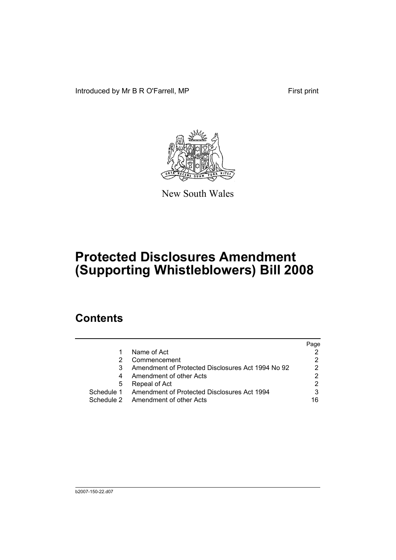Introduced by Mr B R O'Farrell, MP First print



New South Wales

# **Protected Disclosures Amendment (Supporting Whistleblowers) Bill 2008**

# **Contents**

|   |                                                        | Page |
|---|--------------------------------------------------------|------|
|   | Name of Act                                            |      |
|   | Commencement                                           |      |
| 3 | Amendment of Protected Disclosures Act 1994 No 92      | 2    |
| 4 | Amendment of other Acts                                |      |
| 5 | Repeal of Act                                          |      |
|   | Schedule 1 Amendment of Protected Disclosures Act 1994 |      |
|   | Schedule 2 Amendment of other Acts                     | 16   |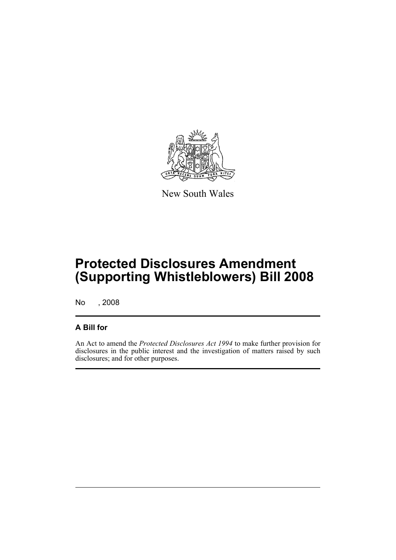

New South Wales

# **Protected Disclosures Amendment (Supporting Whistleblowers) Bill 2008**

No , 2008

### **A Bill for**

An Act to amend the *Protected Disclosures Act 1994* to make further provision for disclosures in the public interest and the investigation of matters raised by such disclosures; and for other purposes.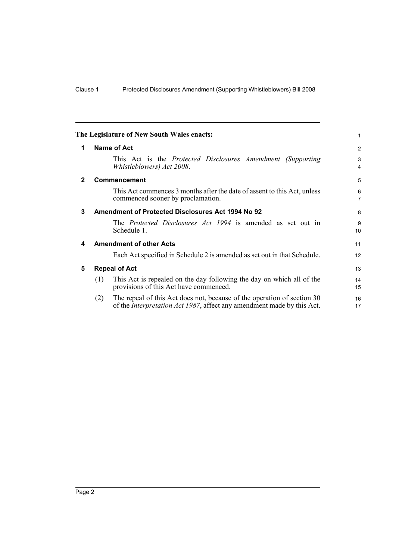<span id="page-7-4"></span><span id="page-7-3"></span><span id="page-7-2"></span><span id="page-7-1"></span><span id="page-7-0"></span>

|              |     | The Legislature of New South Wales enacts:                                                                                                                | 1                            |
|--------------|-----|-----------------------------------------------------------------------------------------------------------------------------------------------------------|------------------------------|
| 1            |     | Name of Act                                                                                                                                               | 2                            |
|              |     | This Act is the <i>Protected Disclosures Amendment (Supporting</i><br><i>Whistleblowers</i> ) Act 2008.                                                   | 3<br>$\overline{\mathbf{4}}$ |
| $\mathbf{2}$ |     | <b>Commencement</b>                                                                                                                                       | 5                            |
|              |     | This Act commences 3 months after the date of assent to this Act, unless<br>commenced sooner by proclamation.                                             | 6<br>$\overline{7}$          |
| 3            |     | Amendment of Protected Disclosures Act 1994 No 92                                                                                                         | 8                            |
|              |     | The <i>Protected Disclosures Act 1994</i> is amended as set out in<br>Schedule 1.                                                                         | 9<br>10                      |
| 4            |     | <b>Amendment of other Acts</b>                                                                                                                            | 11                           |
|              |     | Each Act specified in Schedule 2 is amended as set out in that Schedule.                                                                                  | 12                           |
| 5            |     | <b>Repeal of Act</b>                                                                                                                                      | 13                           |
|              | (1) | This Act is repealed on the day following the day on which all of the<br>provisions of this Act have commenced.                                           | 14<br>15                     |
|              | (2) | The repeal of this Act does not, because of the operation of section 30<br>of the <i>Interpretation Act 1987</i> , affect any amendment made by this Act. | 16<br>17                     |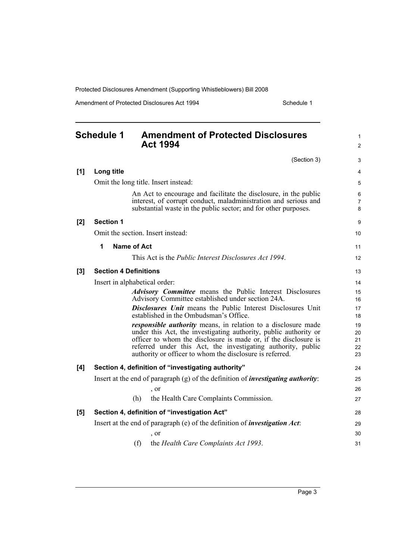<span id="page-8-0"></span>

|       | <b>Schedule 1</b> | <b>Amendment of Protected Disclosures</b><br><b>Act 1994</b>                                                                                                                                                                                                                                                                            | 1<br>$\overline{c}$        |
|-------|-------------------|-----------------------------------------------------------------------------------------------------------------------------------------------------------------------------------------------------------------------------------------------------------------------------------------------------------------------------------------|----------------------------|
|       |                   | (Section 3)                                                                                                                                                                                                                                                                                                                             | 3                          |
| [1]   | Long title        |                                                                                                                                                                                                                                                                                                                                         | 4                          |
|       |                   | Omit the long title. Insert instead:                                                                                                                                                                                                                                                                                                    | 5                          |
|       |                   | An Act to encourage and facilitate the disclosure, in the public<br>interest, of corrupt conduct, maladministration and serious and<br>substantial waste in the public sector; and for other purposes.                                                                                                                                  | 6<br>7<br>8                |
| [2]   | <b>Section 1</b>  |                                                                                                                                                                                                                                                                                                                                         | 9                          |
|       |                   | Omit the section. Insert instead:                                                                                                                                                                                                                                                                                                       | 10                         |
|       | 1                 | <b>Name of Act</b>                                                                                                                                                                                                                                                                                                                      | 11                         |
|       |                   | This Act is the <i>Public Interest Disclosures Act 1994</i> .                                                                                                                                                                                                                                                                           | 12                         |
| $[3]$ |                   | <b>Section 4 Definitions</b>                                                                                                                                                                                                                                                                                                            | 13                         |
|       |                   | Insert in alphabetical order:                                                                                                                                                                                                                                                                                                           | 14                         |
|       |                   | <b>Advisory Committee</b> means the Public Interest Disclosures<br>Advisory Committee established under section 24A.                                                                                                                                                                                                                    | 15<br>16                   |
|       |                   | <b>Disclosures Unit</b> means the Public Interest Disclosures Unit<br>established in the Ombudsman's Office.                                                                                                                                                                                                                            | 17<br>18                   |
|       |                   | <i>responsible authority</i> means, in relation to a disclosure made<br>under this Act, the investigating authority, public authority or<br>officer to whom the disclosure is made or, if the disclosure is<br>referred under this Act, the investigating authority, public<br>authority or officer to whom the disclosure is referred. | 19<br>20<br>21<br>22<br>23 |
| [4]   |                   | Section 4, definition of "investigating authority"                                                                                                                                                                                                                                                                                      | 24                         |
|       |                   | Insert at the end of paragraph $(g)$ of the definition of <i>investigating authority</i> :                                                                                                                                                                                                                                              | 25                         |
|       |                   | $\cdot$ or                                                                                                                                                                                                                                                                                                                              | 26                         |
|       |                   | the Health Care Complaints Commission.<br>(h)                                                                                                                                                                                                                                                                                           | 27                         |
| [5]   |                   | Section 4, definition of "investigation Act"                                                                                                                                                                                                                                                                                            | 28                         |
|       |                   | Insert at the end of paragraph (e) of the definition of <i>investigation Act</i> :                                                                                                                                                                                                                                                      | 29                         |
|       |                   | , or                                                                                                                                                                                                                                                                                                                                    | 30                         |
|       |                   | the Health Care Complaints Act 1993.<br>(f)                                                                                                                                                                                                                                                                                             | 31                         |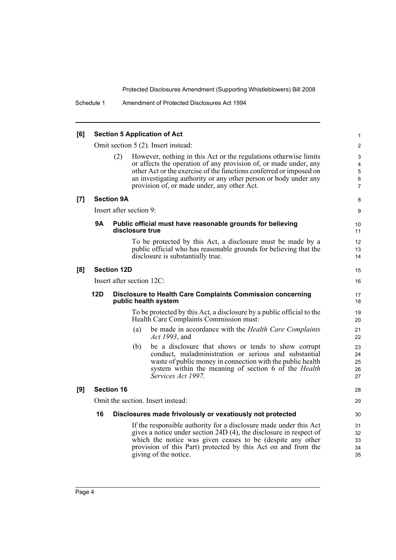| [6] | <b>Section 5 Application of Act</b> |                           |                 |                                                                                                                                                                                                                                                                                                                               |                                    |  |
|-----|-------------------------------------|---------------------------|-----------------|-------------------------------------------------------------------------------------------------------------------------------------------------------------------------------------------------------------------------------------------------------------------------------------------------------------------------------|------------------------------------|--|
|     |                                     |                           |                 | Omit section 5 (2). Insert instead:                                                                                                                                                                                                                                                                                           | $\overline{2}$                     |  |
|     |                                     | (2)                       |                 | However, nothing in this Act or the regulations otherwise limits<br>or affects the operation of any provision of, or made under, any<br>other Act or the exercise of the functions conferred or imposed on<br>an investigating authority or any other person or body under any<br>provision of, or made under, any other Act. | 3<br>4<br>5<br>6<br>$\overline{7}$ |  |
| [7] |                                     | <b>Section 9A</b>         |                 |                                                                                                                                                                                                                                                                                                                               | 8                                  |  |
|     |                                     | Insert after section 9:   |                 |                                                                                                                                                                                                                                                                                                                               | 9                                  |  |
|     | 9Α                                  |                           | disclosure true | Public official must have reasonable grounds for believing                                                                                                                                                                                                                                                                    | 10<br>11                           |  |
|     |                                     |                           |                 | To be protected by this Act, a disclosure must be made by a<br>public official who has reasonable grounds for believing that the<br>disclosure is substantially true.                                                                                                                                                         | 12<br>13<br>14                     |  |
| [8] |                                     | <b>Section 12D</b>        |                 |                                                                                                                                                                                                                                                                                                                               | 15                                 |  |
|     |                                     | Insert after section 12C: |                 |                                                                                                                                                                                                                                                                                                                               | 16                                 |  |
|     | 12D                                 |                           |                 | Disclosure to Health Care Complaints Commission concerning<br>public health system                                                                                                                                                                                                                                            | 17<br>18                           |  |
|     |                                     |                           |                 | To be protected by this Act, a disclosure by a public official to the<br>Health Care Complaints Commission must:                                                                                                                                                                                                              | 19<br>20                           |  |
|     |                                     |                           | (a)             | be made in accordance with the Health Care Complaints<br>Act 1993, and                                                                                                                                                                                                                                                        | 21<br>22                           |  |
|     |                                     |                           | (b)             | be a disclosure that shows or tends to show corrupt<br>conduct, maladministration or serious and substantial<br>waste of public money in connection with the public health<br>system within the meaning of section 6 of the <i>Health</i><br>Services Act 1997.                                                               | 23<br>24<br>25<br>26<br>27         |  |
| [9] |                                     | <b>Section 16</b>         |                 |                                                                                                                                                                                                                                                                                                                               | 28                                 |  |
|     |                                     |                           |                 | Omit the section. Insert instead:                                                                                                                                                                                                                                                                                             | 29                                 |  |
|     | 16                                  |                           |                 | Disclosures made frivolously or vexatiously not protected                                                                                                                                                                                                                                                                     | 30                                 |  |
|     |                                     |                           |                 | If the responsible authority for a disclosure made under this Act<br>gives a notice under section 24D (4), the disclosure in respect of<br>which the notice was given ceases to be (despite any other<br>provision of this Part) protected by this Act on and from the<br>giving of the notice.                               | 31<br>32<br>33<br>34<br>35         |  |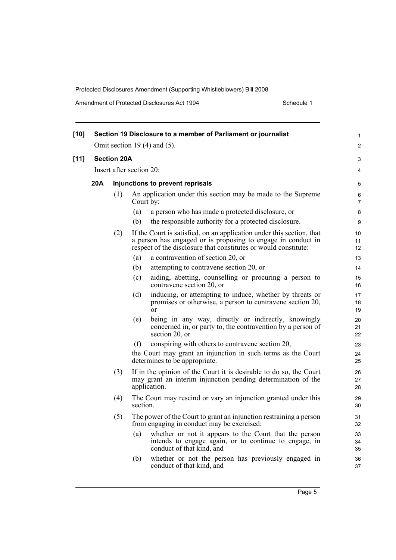| $[10]$ |     |                                  |                          | Section 19 Disclosure to a member of Parliament or journalist                                                                                                                                            | 1              |  |
|--------|-----|----------------------------------|--------------------------|----------------------------------------------------------------------------------------------------------------------------------------------------------------------------------------------------------|----------------|--|
|        |     |                                  |                          | Omit section 19 $(4)$ and $(5)$ .                                                                                                                                                                        | $\overline{c}$ |  |
| $[11]$ |     | <b>Section 20A</b>               |                          |                                                                                                                                                                                                          | 3              |  |
|        |     |                                  | Insert after section 20: |                                                                                                                                                                                                          | 4              |  |
|        | 20A | Injunctions to prevent reprisals |                          |                                                                                                                                                                                                          |                |  |
|        |     | (1)                              | Court by:                | An application under this section may be made to the Supreme                                                                                                                                             | 6<br>7         |  |
|        |     |                                  | (a)                      | a person who has made a protected disclosure, or                                                                                                                                                         | 8              |  |
|        |     |                                  | (b)                      | the responsible authority for a protected disclosure.                                                                                                                                                    | 9              |  |
|        |     | (2)                              |                          | If the Court is satisfied, on an application under this section, that<br>a person has engaged or is proposing to engage in conduct in<br>respect of the disclosure that constitutes or would constitute: | 10<br>11<br>12 |  |
|        |     |                                  | (a)                      | a contravention of section 20, or                                                                                                                                                                        | 13             |  |
|        |     |                                  | (b)                      | attempting to contravene section 20, or                                                                                                                                                                  | 14             |  |
|        |     |                                  | (c)                      | aiding, abetting, counselling or procuring a person to<br>contravene section 20, or                                                                                                                      | 15<br>16       |  |
|        |     |                                  | (d)                      | inducing, or attempting to induce, whether by threats or<br>promises or otherwise, a person to contravene section 20,<br><sub>or</sub>                                                                   | 17<br>18<br>19 |  |
|        |     |                                  | (e)                      | being in any way, directly or indirectly, knowingly<br>concerned in, or party to, the contravention by a person of<br>section 20, or                                                                     | 20<br>21<br>22 |  |
|        |     |                                  | (f)                      | conspiring with others to contravene section 20,                                                                                                                                                         | 23             |  |
|        |     |                                  |                          | the Court may grant an injunction in such terms as the Court<br>determines to be appropriate.                                                                                                            | 24<br>25       |  |
|        |     | (3)                              |                          | If in the opinion of the Court it is desirable to do so, the Court<br>may grant an interim injunction pending determination of the<br>application.                                                       | 26<br>27<br>28 |  |
|        |     | (4)                              | section.                 | The Court may rescind or vary an injunction granted under this                                                                                                                                           | 29<br>30       |  |
|        |     | (5)                              |                          | The power of the Court to grant an injunction restraining a person<br>from engaging in conduct may be exercised:                                                                                         | 31<br>32       |  |
|        |     |                                  | (a)                      | whether or not it appears to the Court that the person<br>intends to engage again, or to continue to engage, in<br>conduct of that kind, and                                                             | 33<br>34<br>35 |  |
|        |     |                                  | (b)                      | whether or not the person has previously engaged in<br>conduct of that kind, and                                                                                                                         | 36<br>37       |  |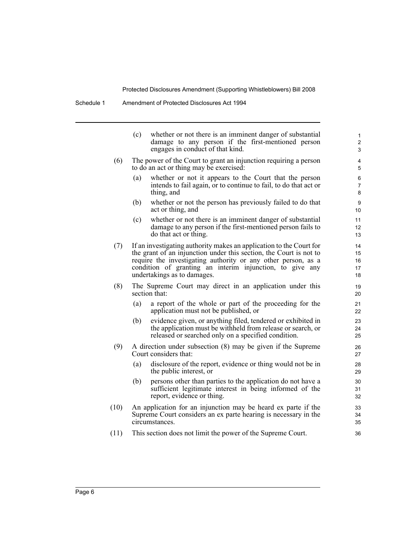|      | (c) | whether or not there is an imminent danger of substantial<br>damage to any person if the first-mentioned person<br>engages in conduct of that kind.                                                                                                                                                   | 1<br>2<br>3                |
|------|-----|-------------------------------------------------------------------------------------------------------------------------------------------------------------------------------------------------------------------------------------------------------------------------------------------------------|----------------------------|
| (6)  |     | The power of the Court to grant an injunction requiring a person<br>to do an act or thing may be exercised:                                                                                                                                                                                           | 4<br>5                     |
|      | (a) | whether or not it appears to the Court that the person<br>intends to fail again, or to continue to fail, to do that act or<br>thing, and                                                                                                                                                              | 6<br>$\overline{7}$<br>8   |
|      | (b) | whether or not the person has previously failed to do that<br>act or thing, and                                                                                                                                                                                                                       | 9<br>10                    |
|      | (c) | whether or not there is an imminent danger of substantial<br>damage to any person if the first-mentioned person fails to<br>do that act or thing.                                                                                                                                                     | 11<br>12<br>13             |
| (7)  |     | If an investigating authority makes an application to the Court for<br>the grant of an injunction under this section, the Court is not to<br>require the investigating authority or any other person, as a<br>condition of granting an interim injunction, to give any<br>undertakings as to damages. | 14<br>15<br>16<br>17<br>18 |
| (8)  |     | The Supreme Court may direct in an application under this<br>section that:                                                                                                                                                                                                                            | 19<br>20                   |
|      | (a) | a report of the whole or part of the proceeding for the<br>application must not be published, or                                                                                                                                                                                                      | 21<br>22                   |
|      | (b) | evidence given, or anything filed, tendered or exhibited in<br>the application must be withheld from release or search, or<br>released or searched only on a specified condition.                                                                                                                     | 23<br>24<br>25             |
| (9)  |     | A direction under subsection (8) may be given if the Supreme<br>Court considers that:                                                                                                                                                                                                                 | 26<br>27                   |
|      | (a) | disclosure of the report, evidence or thing would not be in<br>the public interest, or                                                                                                                                                                                                                | 28<br>29                   |
|      | (b) | persons other than parties to the application do not have a<br>sufficient legitimate interest in being informed of the<br>report, evidence or thing.                                                                                                                                                  | 30<br>31<br>32             |
| (10) |     | An application for an injunction may be heard ex parte if the<br>Supreme Court considers an ex parte hearing is necessary in the<br>circumstances.                                                                                                                                                    | 33<br>34<br>35             |
| (11) |     | This section does not limit the power of the Supreme Court.                                                                                                                                                                                                                                           | 36                         |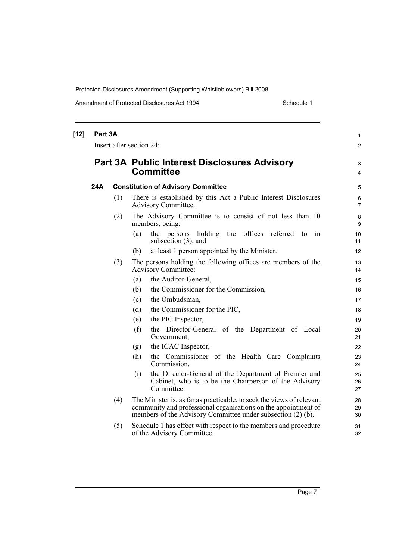| $[12]$ | Part 3A |     | Insert after section 24:                                                                                                                                                                               | 1<br>$\overline{c}$ |
|--------|---------|-----|--------------------------------------------------------------------------------------------------------------------------------------------------------------------------------------------------------|---------------------|
|        |         |     | <b>Part 3A Public Interest Disclosures Advisory</b><br><b>Committee</b>                                                                                                                                | 3<br>4              |
|        | 24A     |     | <b>Constitution of Advisory Committee</b>                                                                                                                                                              | 5                   |
|        |         | (1) | There is established by this Act a Public Interest Disclosures<br><b>Advisory Committee.</b>                                                                                                           | 6<br>7              |
|        |         | (2) | The Advisory Committee is to consist of not less than 10<br>members, being:                                                                                                                            | 8<br>9              |
|        |         |     | offices referred<br>(a)<br>holding the<br>the persons<br>to<br>1n<br>subsection $(3)$ , and                                                                                                            | 10<br>11            |
|        |         |     | at least 1 person appointed by the Minister.<br>(b)                                                                                                                                                    | 12                  |
|        |         | (3) | The persons holding the following offices are members of the<br><b>Advisory Committee:</b>                                                                                                             | 13<br>14            |
|        |         |     | the Auditor-General,<br>(a)                                                                                                                                                                            | 15                  |
|        |         |     | the Commissioner for the Commission,<br>(b)                                                                                                                                                            | 16                  |
|        |         |     | the Ombudsman,<br>(c)                                                                                                                                                                                  | 17                  |
|        |         |     | (d)<br>the Commissioner for the PIC,                                                                                                                                                                   | 18                  |
|        |         |     | the PIC Inspector,<br>(e)                                                                                                                                                                              | 19                  |
|        |         |     | (f)<br>the Director-General of the Department of Local<br>Government,                                                                                                                                  | 20<br>21            |
|        |         |     | the ICAC Inspector,<br>(g)                                                                                                                                                                             | 22                  |
|        |         |     | the Commissioner of the Health Care Complaints<br>(h)<br>Commission,                                                                                                                                   | 23<br>24            |
|        |         |     | the Director-General of the Department of Premier and<br>(i)<br>Cabinet, who is to be the Chairperson of the Advisory<br>Committee.                                                                    | 25<br>26<br>27      |
|        |         | (4) | The Minister is, as far as practicable, to seek the views of relevant<br>community and professional organisations on the appointment of<br>members of the Advisory Committee under subsection (2) (b). | 28<br>29<br>30      |
|        |         | (5) | Schedule 1 has effect with respect to the members and procedure<br>of the Advisory Committee.                                                                                                          | 31<br>32            |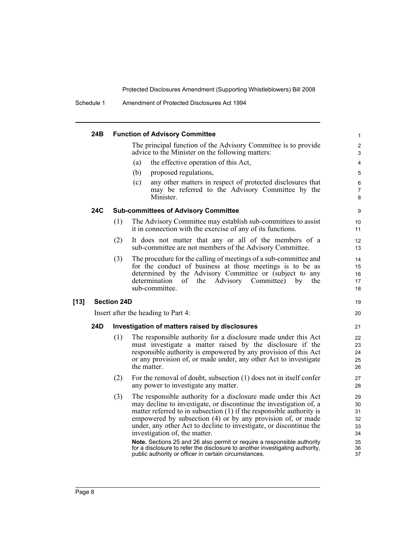Schedule 1 Amendment of Protected Disclosures Act 1994

|      | 24B |                    | <b>Function of Advisory Committee</b>                                                                                                                                                                                                                                                                                                                                                                                                                                                                                                                                                                    | 1                                                  |
|------|-----|--------------------|----------------------------------------------------------------------------------------------------------------------------------------------------------------------------------------------------------------------------------------------------------------------------------------------------------------------------------------------------------------------------------------------------------------------------------------------------------------------------------------------------------------------------------------------------------------------------------------------------------|----------------------------------------------------|
|      |     |                    | The principal function of the Advisory Committee is to provide<br>advice to the Minister on the following matters:                                                                                                                                                                                                                                                                                                                                                                                                                                                                                       | 2<br>3                                             |
|      |     |                    | the effective operation of this Act,<br>(a)                                                                                                                                                                                                                                                                                                                                                                                                                                                                                                                                                              | 4                                                  |
|      |     |                    | (b)<br>proposed regulations,                                                                                                                                                                                                                                                                                                                                                                                                                                                                                                                                                                             | 5                                                  |
|      |     |                    | any other matters in respect of protected disclosures that<br>(c)<br>may be referred to the Advisory Committee by the<br>Minister.                                                                                                                                                                                                                                                                                                                                                                                                                                                                       | 6<br>$\overline{7}$<br>8                           |
|      | 24C |                    | <b>Sub-committees of Advisory Committee</b>                                                                                                                                                                                                                                                                                                                                                                                                                                                                                                                                                              | 9                                                  |
|      |     | (1)                | The Advisory Committee may establish sub-committees to assist<br>it in connection with the exercise of any of its functions.                                                                                                                                                                                                                                                                                                                                                                                                                                                                             | 10<br>11                                           |
|      |     | (2)                | It does not matter that any or all of the members of a<br>sub-committee are not members of the Advisory Committee.                                                                                                                                                                                                                                                                                                                                                                                                                                                                                       | 12<br>13                                           |
|      |     | (3)                | The procedure for the calling of meetings of a sub-committee and<br>for the conduct of business at those meetings is to be as<br>determined by the Advisory Committee or (subject to any<br>determination<br>of<br>Advisory Committee)<br>the<br>the<br>by<br>sub-committee.                                                                                                                                                                                                                                                                                                                             | 14<br>15<br>16<br>17<br>18                         |
| [13] |     | <b>Section 24D</b> |                                                                                                                                                                                                                                                                                                                                                                                                                                                                                                                                                                                                          | 19                                                 |
|      |     |                    | Insert after the heading to Part 4:                                                                                                                                                                                                                                                                                                                                                                                                                                                                                                                                                                      | 20                                                 |
|      | 24D |                    | Investigation of matters raised by disclosures                                                                                                                                                                                                                                                                                                                                                                                                                                                                                                                                                           | 21                                                 |
|      |     | (1)                | The responsible authority for a disclosure made under this Act<br>must investigate a matter raised by the disclosure if the<br>responsible authority is empowered by any provision of this Act<br>or any provision of, or made under, any other Act to investigate<br>the matter.                                                                                                                                                                                                                                                                                                                        | 22<br>23<br>24<br>25<br>26                         |
|      |     | (2)                | For the removal of doubt, subsection (1) does not in itself confer<br>any power to investigate any matter.                                                                                                                                                                                                                                                                                                                                                                                                                                                                                               | 27<br>28                                           |
|      |     | (3)                | The responsible authority for a disclosure made under this Act<br>may decline to investigate, or discontinue the investigation of, a<br>matter referred to in subsection $(1)$ if the responsible authority is<br>empowered by subsection (4) or by any provision of, or made<br>under, any other Act to decline to investigate, or discontinue the<br>investigation of, the matter.<br>Note. Sections 25 and 26 also permit or require a responsible authority<br>for a disclosure to refer the disclosure to another investigating authority,<br>public authority or officer in certain circumstances. | 29<br>30<br>31<br>32<br>33<br>34<br>35<br>36<br>37 |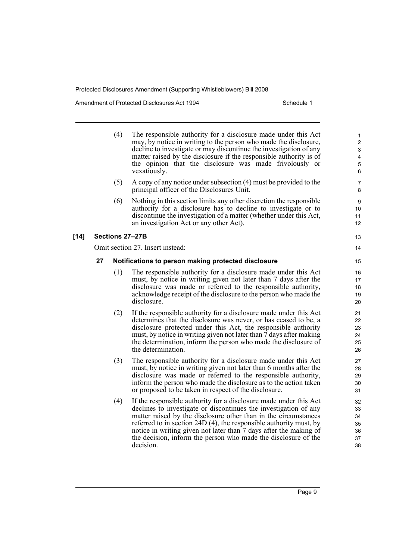Amendment of Protected Disclosures Act 1994 Schedule 1

|        |    | (4) | The responsible authority for a disclosure made under this Act<br>may, by notice in writing to the person who made the disclosure,<br>decline to investigate or may discontinue the investigation of any<br>matter raised by the disclosure if the responsible authority is of<br>the opinion that the disclosure was made frivolously or<br>vexatiously.                                                                          | 1<br>$\boldsymbol{2}$<br>$\ensuremath{\mathsf{3}}$<br>$\overline{\mathbf{4}}$<br>$\overline{5}$<br>6 |
|--------|----|-----|------------------------------------------------------------------------------------------------------------------------------------------------------------------------------------------------------------------------------------------------------------------------------------------------------------------------------------------------------------------------------------------------------------------------------------|------------------------------------------------------------------------------------------------------|
|        |    | (5) | A copy of any notice under subsection (4) must be provided to the<br>principal officer of the Disclosures Unit.                                                                                                                                                                                                                                                                                                                    | 7<br>8                                                                                               |
|        |    | (6) | Nothing in this section limits any other discretion the responsible<br>authority for a disclosure has to decline to investigate or to<br>discontinue the investigation of a matter (whether under this Act,<br>an investigation Act or any other Act).                                                                                                                                                                             | 9<br>10<br>11<br>12                                                                                  |
| $[14]$ |    |     | Sections 27-27B                                                                                                                                                                                                                                                                                                                                                                                                                    | 13                                                                                                   |
|        |    |     | Omit section 27. Insert instead:                                                                                                                                                                                                                                                                                                                                                                                                   | 14                                                                                                   |
|        | 27 |     | Notifications to person making protected disclosure                                                                                                                                                                                                                                                                                                                                                                                | 15                                                                                                   |
|        |    | (1) | The responsible authority for a disclosure made under this Act<br>must, by notice in writing given not later than 7 days after the<br>disclosure was made or referred to the responsible authority,<br>acknowledge receipt of the disclosure to the person who made the<br>disclosure.                                                                                                                                             | 16<br>17<br>18<br>19<br>20                                                                           |
|        |    | (2) | If the responsible authority for a disclosure made under this Act<br>determines that the disclosure was never, or has ceased to be, a<br>disclosure protected under this Act, the responsible authority<br>must, by notice in writing given not later than 7 days after making<br>the determination, inform the person who made the disclosure of<br>the determination.                                                            | 21<br>22<br>23<br>24<br>25<br>26                                                                     |
|        |    | (3) | The responsible authority for a disclosure made under this Act<br>must, by notice in writing given not later than 6 months after the<br>disclosure was made or referred to the responsible authority,<br>inform the person who made the disclosure as to the action taken<br>or proposed to be taken in respect of the disclosure.                                                                                                 | 27<br>28<br>29<br>30<br>31                                                                           |
|        |    | (4) | If the responsible authority for a disclosure made under this Act<br>declines to investigate or discontinues the investigation of any<br>matter raised by the disclosure other than in the circumstances<br>referred to in section 24D (4), the responsible authority must, by<br>notice in writing given not later than 7 days after the making of<br>the decision, inform the person who made the disclosure of the<br>decision. | 32<br>33<br>34<br>35<br>36<br>37<br>38                                                               |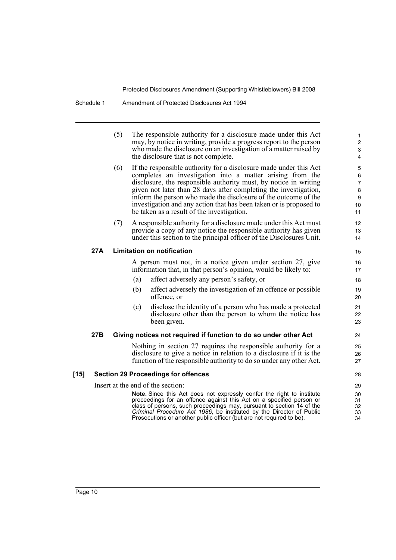| (5) | The responsible authority for a disclosure made under this Act     |
|-----|--------------------------------------------------------------------|
|     | may, by notice in writing, provide a progress report to the person |
|     | who made the disclosure on an investigation of a matter raised by  |
|     | the disclosure that is not complete.                               |

- (6) If the responsible authority for a disclosure made under this Act completes an investigation into a matter arising from the disclosure, the responsible authority must, by notice in writing given not later than 28 days after completing the investigation, inform the person who made the disclosure of the outcome of the investigation and any action that has been taken or is proposed to be taken as a result of the investigation.
- (7) A responsible authority for a disclosure made under this Act must provide a copy of any notice the responsible authority has given under this section to the principal officer of the Disclosures Unit.

#### **27A Limitation on notification**

A person must not, in a notice given under section 27, give information that, in that person's opinion, would be likely to:

- (a) affect adversely any person's safety, or
- (b) affect adversely the investigation of an offence or possible offence, or
- (c) disclose the identity of a person who has made a protected disclosure other than the person to whom the notice has been given.

#### **27B Giving notices not required if function to do so under other Act**

Nothing in section 27 requires the responsible authority for a disclosure to give a notice in relation to a disclosure if it is the function of the responsible authority to do so under any other Act.

#### **[15] Section 29 Proceedings for offences**

Insert at the end of the section:

**Note.** Since this Act does not expressly confer the right to institute proceedings for an offence against this Act on a specified person or class of persons, such proceedings may, pursuant to section 14 of the *Criminal Procedure Act 1986*, be instituted by the Director of Public Prosecutions or another public officer (but are not required to be).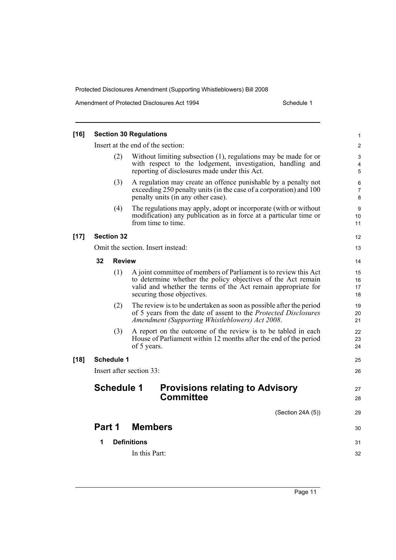| $[16]$ | <b>Section 30 Regulations</b> |                    |                          |                                                                                                                                                                                                                                 |                      |  |  |
|--------|-------------------------------|--------------------|--------------------------|---------------------------------------------------------------------------------------------------------------------------------------------------------------------------------------------------------------------------------|----------------------|--|--|
|        |                               |                    |                          | Insert at the end of the section:                                                                                                                                                                                               | $\overline{c}$       |  |  |
|        |                               | (2)                |                          | Without limiting subsection (1), regulations may be made for or<br>with respect to the lodgement, investigation, handling and<br>reporting of disclosures made under this Act.                                                  | 3<br>4<br>5          |  |  |
|        |                               | (3)                |                          | A regulation may create an offence punishable by a penalty not<br>exceeding 250 penalty units (in the case of a corporation) and 100<br>penalty units (in any other case).                                                      | 6<br>7<br>8          |  |  |
|        |                               | (4)                |                          | The regulations may apply, adopt or incorporate (with or without<br>modification) any publication as in force at a particular time or<br>from time to time.                                                                     | 9<br>10<br>11        |  |  |
| $[17]$ |                               | <b>Section 32</b>  |                          |                                                                                                                                                                                                                                 | 12                   |  |  |
|        |                               |                    |                          | Omit the section. Insert instead:                                                                                                                                                                                               | 13                   |  |  |
|        | 32                            | <b>Review</b>      |                          |                                                                                                                                                                                                                                 | 14                   |  |  |
|        |                               | (1)                |                          | A joint committee of members of Parliament is to review this Act<br>to determine whether the policy objectives of the Act remain<br>valid and whether the terms of the Act remain appropriate for<br>securing those objectives. | 15<br>16<br>17<br>18 |  |  |
|        |                               | (2)                |                          | The review is to be undertaken as soon as possible after the period<br>of 5 years from the date of assent to the <i>Protected Disclosures</i><br>Amendment (Supporting Whistleblowers) Act 2008.                                | 19<br>20<br>21       |  |  |
|        |                               | (3)                | of 5 years.              | A report on the outcome of the review is to be tabled in each<br>House of Parliament within 12 months after the end of the period                                                                                               | 22<br>23<br>24       |  |  |
| $[18]$ |                               | <b>Schedule 1</b>  |                          |                                                                                                                                                                                                                                 | 25                   |  |  |
|        |                               |                    | Insert after section 33: |                                                                                                                                                                                                                                 | 26                   |  |  |
|        |                               | <b>Schedule 1</b>  |                          | <b>Provisions relating to Advisory</b><br><b>Committee</b>                                                                                                                                                                      | 27<br>28             |  |  |
|        |                               |                    |                          | (Section 24A (5))                                                                                                                                                                                                               | 29                   |  |  |
|        | Part 1                        |                    | <b>Members</b>           |                                                                                                                                                                                                                                 | 30                   |  |  |
|        | 1                             | <b>Definitions</b> |                          |                                                                                                                                                                                                                                 |                      |  |  |
|        |                               |                    | In this Part:            |                                                                                                                                                                                                                                 | 32                   |  |  |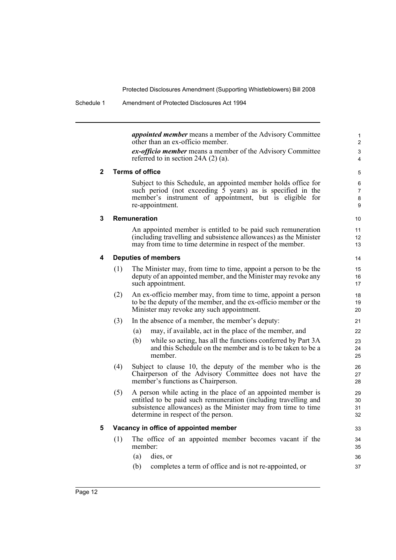*appointed member* means a member of the Advisory Committee other than an ex-officio member. *ex-officio member* means a member of the Advisory Committee referred to in section 24A (2) (a). **2 Terms of office** Subject to this Schedule, an appointed member holds office for such period (not exceeding  $\tilde{5}$  years) as is specified in the member's instrument of appointment, but is eligible for re-appointment. **3 Remuneration** An appointed member is entitled to be paid such remuneration (including travelling and subsistence allowances) as the Minister may from time to time determine in respect of the member. **4 Deputies of members** (1) The Minister may, from time to time, appoint a person to be the deputy of an appointed member, and the Minister may revoke any such appointment. (2) An ex-officio member may, from time to time, appoint a person to be the deputy of the member, and the ex-officio member or the Minister may revoke any such appointment. (3) In the absence of a member, the member's deputy: (a) may, if available, act in the place of the member, and (b) while so acting, has all the functions conferred by Part 3A and this Schedule on the member and is to be taken to be a member. (4) Subject to clause 10, the deputy of the member who is the Chairperson of the Advisory Committee does not have the member's functions as Chairperson. (5) A person while acting in the place of an appointed member is entitled to be paid such remuneration (including travelling and subsistence allowances) as the Minister may from time to time determine in respect of the person. **5 Vacancy in office of appointed member** (1) The office of an appointed member becomes vacant if the member: (a) dies, or (b) completes a term of office and is not re-appointed, or 1 2 3 4 5 6 7 8 9 10 11 12 13 14 15 16 17 18 19 20 21 22  $23$ 24  $25$ 26 27 28  $29$ 30 31 32 33 34 35 36 37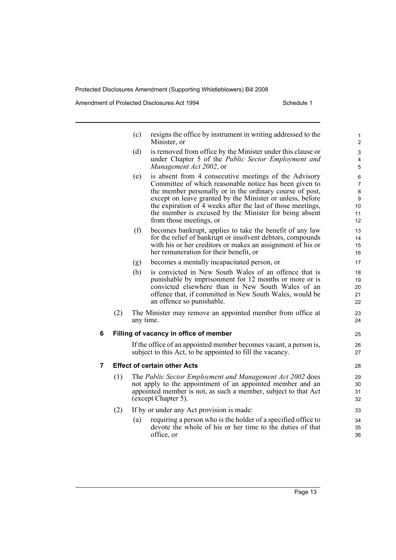Amendment of Protected Disclosures Act 1994 Schedule 1

|   |     | (c)       | resigns the office by instrument in writing addressed to the<br>Minister, or                                                                                                                                                                                                                                                                                                                 | $\mathbf{1}$<br>$\overline{2}$                  |
|---|-----|-----------|----------------------------------------------------------------------------------------------------------------------------------------------------------------------------------------------------------------------------------------------------------------------------------------------------------------------------------------------------------------------------------------------|-------------------------------------------------|
|   |     | (d)       | is removed from office by the Minister under this clause or<br>under Chapter 5 of the Public Sector Employment and<br>Management Act 2002, or                                                                                                                                                                                                                                                | 3<br>4<br>5                                     |
|   |     | (e)       | is absent from 4 consecutive meetings of the Advisory<br>Committee of which reasonable notice has been given to<br>the member personally or in the ordinary course of post,<br>except on leave granted by the Minister or unless, before<br>the expiration of 4 weeks after the last of those meetings,<br>the member is excused by the Minister for being absent<br>from those meetings, or | 6<br>$\overline{7}$<br>8<br>9<br>10<br>11<br>12 |
|   |     | (f)       | becomes bankrupt, applies to take the benefit of any law<br>for the relief of bankrupt or insolvent debtors, compounds<br>with his or her creditors or makes an assignment of his or<br>her remuneration for their benefit, or                                                                                                                                                               | 13<br>14<br>15<br>16                            |
|   |     | (g)       | becomes a mentally incapacitated person, or                                                                                                                                                                                                                                                                                                                                                  | 17                                              |
|   |     | (h)       | is convicted in New South Wales of an offence that is<br>punishable by imprisonment for 12 months or more or is<br>convicted elsewhere than in New South Wales of an<br>offence that, if committed in New South Wales, would be<br>an offence so punishable.                                                                                                                                 | 18<br>19<br>20<br>21<br>22                      |
|   | (2) | any time. | The Minister may remove an appointed member from office at                                                                                                                                                                                                                                                                                                                                   | 23<br>24                                        |
| 6 |     |           | Filling of vacancy in office of member                                                                                                                                                                                                                                                                                                                                                       | 25                                              |
|   |     |           | If the office of an appointed member becomes vacant, a person is,<br>subject to this Act, to be appointed to fill the vacancy.                                                                                                                                                                                                                                                               | 26<br>27                                        |
| 7 |     |           | <b>Effect of certain other Acts</b>                                                                                                                                                                                                                                                                                                                                                          | 28                                              |
|   | (1) |           | The Public Sector Employment and Management Act 2002 does<br>not apply to the appointment of an appointed member and an<br>appointed member is not, as such a member, subject to that Act                                                                                                                                                                                                    | 29<br>30<br>31                                  |

(2) If by or under any Act provision is made:

(except Chapter 5).

(a) requiring a person who is the holder of a specified office to devote the whole of his or her time to the duties of that office, or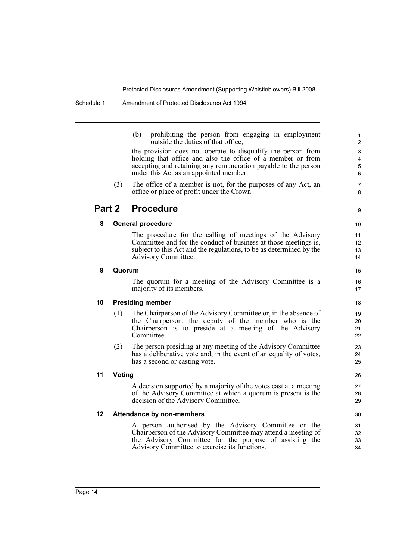(b) prohibiting the person from engaging in employment outside the duties of that office,

the provision does not operate to disqualify the person from holding that office and also the office of a member or from accepting and retaining any remuneration payable to the person under this Act as an appointed member.

(3) The office of a member is not, for the purposes of any Act, an office or place of profit under the Crown.

### **Part 2 Procedure**

#### **8 General procedure**

The procedure for the calling of meetings of the Advisory Committee and for the conduct of business at those meetings is, subject to this Act and the regulations, to be as determined by the Advisory Committee.

#### **9 Quorum**

The quorum for a meeting of the Advisory Committee is a majority of its members.

#### **10 Presiding member**

- (1) The Chairperson of the Advisory Committee or, in the absence of the Chairperson, the deputy of the member who is the Chairperson is to preside at a meeting of the Advisory Committee.
- (2) The person presiding at any meeting of the Advisory Committee has a deliberative vote and, in the event of an equality of votes, has a second or casting vote.

#### **11 Voting**

A decision supported by a majority of the votes cast at a meeting of the Advisory Committee at which a quorum is present is the decision of the Advisory Committee.

#### **12 Attendance by non-members**

A person authorised by the Advisory Committee or the Chairperson of the Advisory Committee may attend a meeting of the Advisory Committee for the purpose of assisting the Advisory Committee to exercise its functions.

30 31

32 33 34

 $\alpha$ 

15 16 17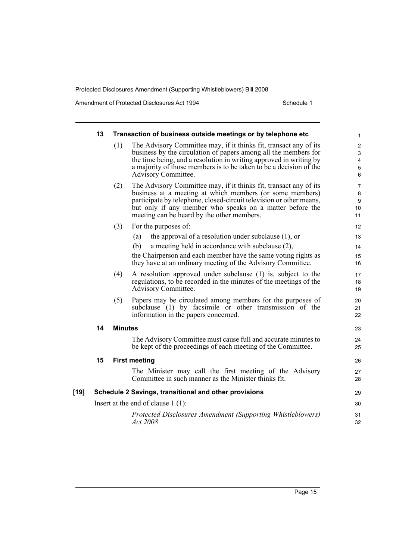|      | 13                                                    |                      | Transaction of business outside meetings or by telephone etc                                                                                                                                                                                                                                                   | $\mathbf{1}$                                                                                      |  |
|------|-------------------------------------------------------|----------------------|----------------------------------------------------------------------------------------------------------------------------------------------------------------------------------------------------------------------------------------------------------------------------------------------------------------|---------------------------------------------------------------------------------------------------|--|
|      |                                                       | (1)                  | The Advisory Committee may, if it thinks fit, transact any of its<br>business by the circulation of papers among all the members for<br>the time being, and a resolution in writing approved in writing by<br>a majority of those members is to be taken to be a decision of the<br>Advisory Committee.        | $\overline{2}$<br>$\ensuremath{\mathsf{3}}$<br>$\overline{\mathbf{4}}$<br>$\overline{5}$<br>$\,6$ |  |
|      |                                                       | (2)                  | The Advisory Committee may, if it thinks fit, transact any of its<br>business at a meeting at which members (or some members)<br>participate by telephone, closed-circuit television or other means,<br>but only if any member who speaks on a matter before the<br>meeting can be heard by the other members. | $\overline{7}$<br>8<br>$\boldsymbol{9}$<br>10<br>11                                               |  |
|      |                                                       | (3)                  | For the purposes of:                                                                                                                                                                                                                                                                                           | 12                                                                                                |  |
|      |                                                       |                      | the approval of a resolution under subclause $(1)$ , or<br>(a)                                                                                                                                                                                                                                                 | 13                                                                                                |  |
|      |                                                       |                      | (b)<br>a meeting held in accordance with subclause (2),                                                                                                                                                                                                                                                        | 14                                                                                                |  |
|      |                                                       |                      | the Chairperson and each member have the same voting rights as<br>they have at an ordinary meeting of the Advisory Committee.                                                                                                                                                                                  | 15<br>16                                                                                          |  |
|      |                                                       | (4)                  | A resolution approved under subclause (1) is, subject to the<br>regulations, to be recorded in the minutes of the meetings of the<br>Advisory Committee.                                                                                                                                                       | 17<br>18<br>19                                                                                    |  |
|      |                                                       | (5)                  | Papers may be circulated among members for the purposes of<br>subclause (1) by facsimile or other transmission of the<br>information in the papers concerned.                                                                                                                                                  | 20<br>21<br>22                                                                                    |  |
|      | 14                                                    | <b>Minutes</b>       |                                                                                                                                                                                                                                                                                                                |                                                                                                   |  |
|      |                                                       |                      | The Advisory Committee must cause full and accurate minutes to<br>be kept of the proceedings of each meeting of the Committee.                                                                                                                                                                                 | 24<br>25                                                                                          |  |
|      | 15                                                    | <b>First meeting</b> |                                                                                                                                                                                                                                                                                                                |                                                                                                   |  |
|      |                                                       |                      | The Minister may call the first meeting of the Advisory<br>Committee in such manner as the Minister thinks fit.                                                                                                                                                                                                | 27<br>28                                                                                          |  |
| [19] | Schedule 2 Savings, transitional and other provisions |                      |                                                                                                                                                                                                                                                                                                                |                                                                                                   |  |
|      | Insert at the end of clause $1(1)$ :                  |                      |                                                                                                                                                                                                                                                                                                                |                                                                                                   |  |
|      |                                                       |                      | Protected Disclosures Amendment (Supporting Whistleblowers)<br>Act 2008                                                                                                                                                                                                                                        | 31<br>32                                                                                          |  |